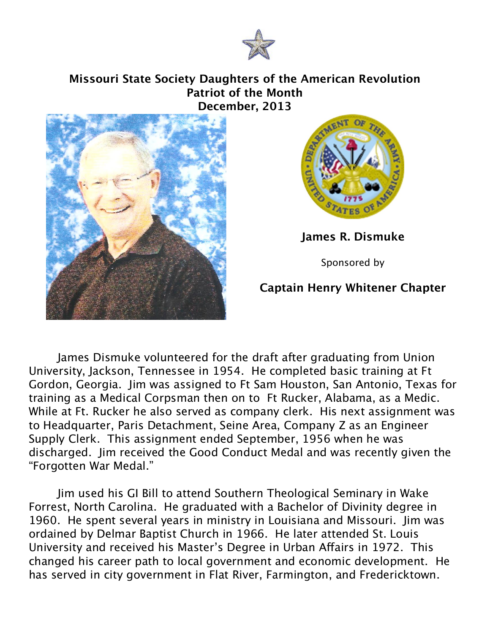

## **Missouri State Society Daughters of the American Revolution Patriot of the Month December, 2013**





**James R. Dismuke**

Sponsored by

## **Captain Henry Whitener Chapter**

James Dismuke volunteered for the draft after graduating from Union University, Jackson, Tennessee in 1954. He completed basic training at Ft Gordon, Georgia. Jim was assigned to Ft Sam Houston, San Antonio, Texas for training as a Medical Corpsman then on to Ft Rucker, Alabama, as a Medic. While at Ft. Rucker he also served as company clerk. His next assignment was to Headquarter, Paris Detachment, Seine Area, Company Z as an Engineer Supply Clerk. This assignment ended September, 1956 when he was discharged. Jim received the Good Conduct Medal and was recently given the "Forgotten War Medal."

Jim used his GI Bill to attend Southern Theological Seminary in Wake Forrest, North Carolina. He graduated with a Bachelor of Divinity degree in 1960. He spent several years in ministry in Louisiana and Missouri. Jim was ordained by Delmar Baptist Church in 1966. He later attended St. Louis University and received his Master's Degree in Urban Affairs in 1972. This changed his career path to local government and economic development. He has served in city government in Flat River, Farmington, and Fredericktown.